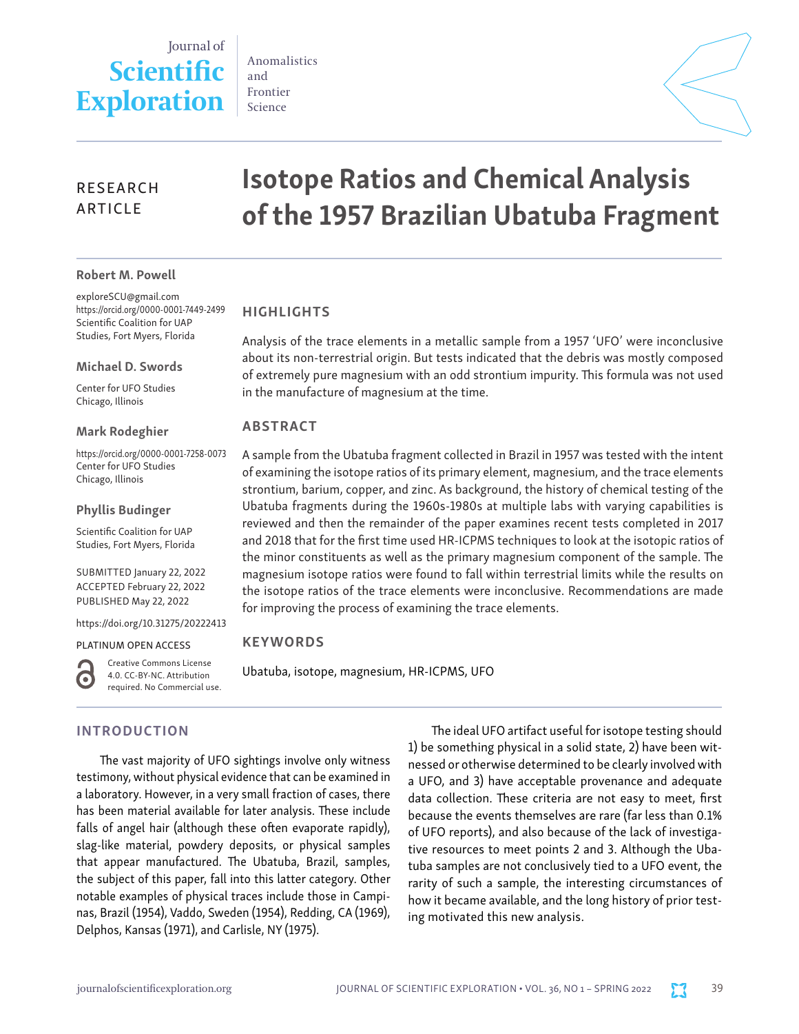# Journal of **Scientific Exploration**

Anomalistics and Frontier Science

# RESEARCH ARTICLE

#### Robert M. Powell

exploreSCU@gmail.com https://orcid.org/0000-0001-7449-2499 Scientific Coalition for UAP Studies, Fort Myers, Florida

Michael D. Swords

Center for UFO Studies Chicago, Illinois

Mark Rodeghier

https://orcid.org/0000-0001-7258-0073 Center for UFO Studies Chicago, Illinois

Phyllis Budinger

Scientific Coalition for UAP Studies, Fort Myers, Florida

SUBMITTED January 22, 2022 ACCEPTED February 22, 2022 PUBLISHED May 22, 2022

https://doi.org/10.31275/20222413

#### PLATINUM OPEN ACCESS

G

Creative Commons License 4.0. CC-BY-NC. Attribution required. No Commercial use.

# INTRODUCTION

The vast majority of UFO sightings involve only witness testimony, without physical evidence that can be examined in a laboratory. However, in a very small fraction of cases, there has been material available for later analysis. These include falls of angel hair (although these often evaporate rapidly), slag-like material, powdery deposits, or physical samples that appear manufactured. The Ubatuba, Brazil, samples, the subject of this paper, fall into this latter category. Other notable examples of physical traces include those in Campinas, Brazil (1954), Vaddo, Sweden (1954), Redding, CA (1969), Delphos, Kansas (1971), and Carlisle, NY (1975).

The ideal UFO artifact useful for isotope testing should 1) be something physical in a solid state, 2) have been witnessed or otherwise determined to be clearly involved with a UFO, and 3) have acceptable provenance and adequate data collection. These criteria are not easy to meet, first because the events themselves are rare (far less than 0.1% of UFO reports), and also because of the lack of investigative resources to meet points 2 and 3. Although the Ubatuba samples are not conclusively tied to a UFO event, the rarity of such a sample, the interesting circumstances of how it became available, and the long history of prior testing motivated this new analysis.

# Isotope Ratios and Chemical Analysis of the 1957 Brazilian Ubatuba Fragment

# HIGHLIGHTS

Analysis of the trace elements in a metallic sample from a 1957 'UFO' were inconclusive about its non-terrestrial origin. But tests indicated that the debris was mostly composed of extremely pure magnesium with an odd strontium impurity. This formula was not used in the manufacture of magnesium at the time.

# ABSTRACT

A sample from the Ubatuba fragment collected in Brazil in 1957 was tested with the intent of examining the isotope ratios of its primary element, magnesium, and the trace elements strontium, barium, copper, and zinc. As background, the history of chemical testing of the Ubatuba fragments during the 1960s-1980s at multiple labs with varying capabilities is reviewed and then the remainder of the paper examines recent tests completed in 2017 and 2018 that for the first time used HR-ICPMS techniques to look at the isotopic ratios of the minor constituents as well as the primary magnesium component of the sample. The magnesium isotope ratios were found to fall within terrestrial limits while the results on the isotope ratios of the trace elements were inconclusive. Recommendations are made for improving the process of examining the trace elements.

# **KEYWORDS**

Ubatuba, isotope, magnesium, HR-ICPMS, UFO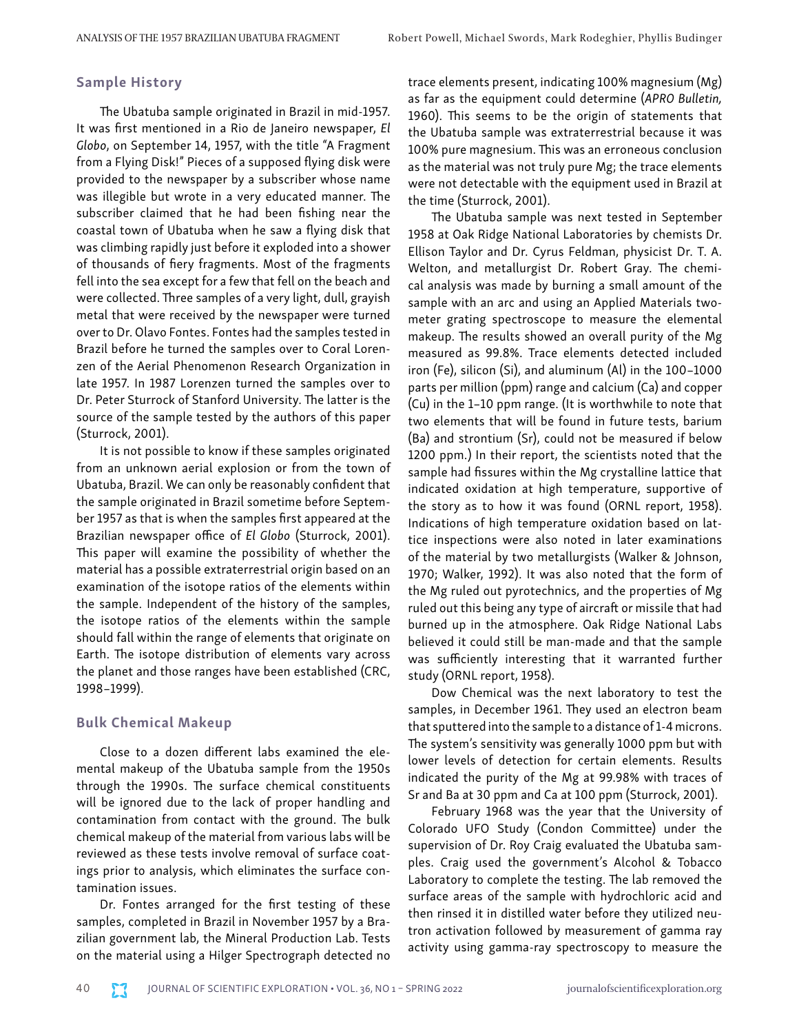#### Sample History

The Ubatuba sample originated in Brazil in mid-1957. It was first mentioned in a Rio de Janeiro newspaper, *El Globo*, on September 14, 1957, with the title "A Fragment from a Flying Disk!" Pieces of a supposed flying disk were provided to the newspaper by a subscriber whose name was illegible but wrote in a very educated manner. The subscriber claimed that he had been fishing near the coastal town of Ubatuba when he saw a flying disk that was climbing rapidly just before it exploded into a shower of thousands of fiery fragments. Most of the fragments fell into the sea except for a few that fell on the beach and were collected. Three samples of a very light, dull, grayish metal that were received by the newspaper were turned over to Dr. Olavo Fontes. Fontes had the samples tested in Brazil before he turned the samples over to Coral Lorenzen of the Aerial Phenomenon Research Organization in late 1957. In 1987 Lorenzen turned the samples over to Dr. Peter Sturrock of Stanford University. The latter is the source of the sample tested by the authors of this paper (Sturrock, 2001).

It is not possible to know if these samples originated from an unknown aerial explosion or from the town of Ubatuba, Brazil. We can only be reasonably confident that the sample originated in Brazil sometime before September 1957 as that is when the samples first appeared at the Brazilian newspaper office of *El Globo* (Sturrock, 2001). This paper will examine the possibility of whether the material has a possible extraterrestrial origin based on an examination of the isotope ratios of the elements within the sample. Independent of the history of the samples, the isotope ratios of the elements within the sample should fall within the range of elements that originate on Earth. The isotope distribution of elements vary across the planet and those ranges have been established (CRC, 1998–1999).

#### Bulk Chemical Makeup

Close to a dozen different labs examined the elemental makeup of the Ubatuba sample from the 1950s through the 1990s. The surface chemical constituents will be ignored due to the lack of proper handling and contamination from contact with the ground. The bulk chemical makeup of the material from various labs will be reviewed as these tests involve removal of surface coatings prior to analysis, which eliminates the surface contamination issues.

Dr. Fontes arranged for the first testing of these samples, completed in Brazil in November 1957 by a Brazilian government lab, the Mineral Production Lab. Tests on the material using a Hilger Spectrograph detected no

trace elements present, indicating 100% magnesium (Mg) as far as the equipment could determine (*APRO Bulletin,*  1960). This seems to be the origin of statements that the Ubatuba sample was extraterrestrial because it was 100% pure magnesium. This was an erroneous conclusion as the material was not truly pure Mg; the trace elements were not detectable with the equipment used in Brazil at the time (Sturrock, 2001).

The Ubatuba sample was next tested in September 1958 at Oak Ridge National Laboratories by chemists Dr. Ellison Taylor and Dr. Cyrus Feldman, physicist Dr. T. A. Welton, and metallurgist Dr. Robert Gray. The chemical analysis was made by burning a small amount of the sample with an arc and using an Applied Materials twometer grating spectroscope to measure the elemental makeup. The results showed an overall purity of the Mg measured as 99.8%. Trace elements detected included iron (Fe), silicon (Si), and aluminum (Al) in the 100–1000 parts per million (ppm) range and calcium (Ca) and copper (Cu) in the 1–10 ppm range. (It is worthwhile to note that two elements that will be found in future tests, barium (Ba) and strontium (Sr), could not be measured if below 1200 ppm.) In their report, the scientists noted that the sample had fissures within the Mg crystalline lattice that indicated oxidation at high temperature, supportive of the story as to how it was found (ORNL report, 1958). Indications of high temperature oxidation based on lattice inspections were also noted in later examinations of the material by two metallurgists (Walker & Johnson, 1970; Walker, 1992). It was also noted that the form of the Mg ruled out pyrotechnics, and the properties of Mg ruled out this being any type of aircraft or missile that had burned up in the atmosphere. Oak Ridge National Labs believed it could still be man-made and that the sample was sufficiently interesting that it warranted further study (ORNL report, 1958).

Dow Chemical was the next laboratory to test the samples, in December 1961. They used an electron beam that sputtered into the sample to a distance of 1-4 microns. The system's sensitivity was generally 1000 ppm but with lower levels of detection for certain elements. Results indicated the purity of the Mg at 99.98% with traces of Sr and Ba at 30 ppm and Ca at 100 ppm (Sturrock, 2001).

February 1968 was the year that the University of Colorado UFO Study (Condon Committee) under the supervision of Dr. Roy Craig evaluated the Ubatuba samples. Craig used the government's Alcohol & Tobacco Laboratory to complete the testing. The lab removed the surface areas of the sample with hydrochloric acid and then rinsed it in distilled water before they utilized neutron activation followed by measurement of gamma ray activity using gamma-ray spectroscopy to measure the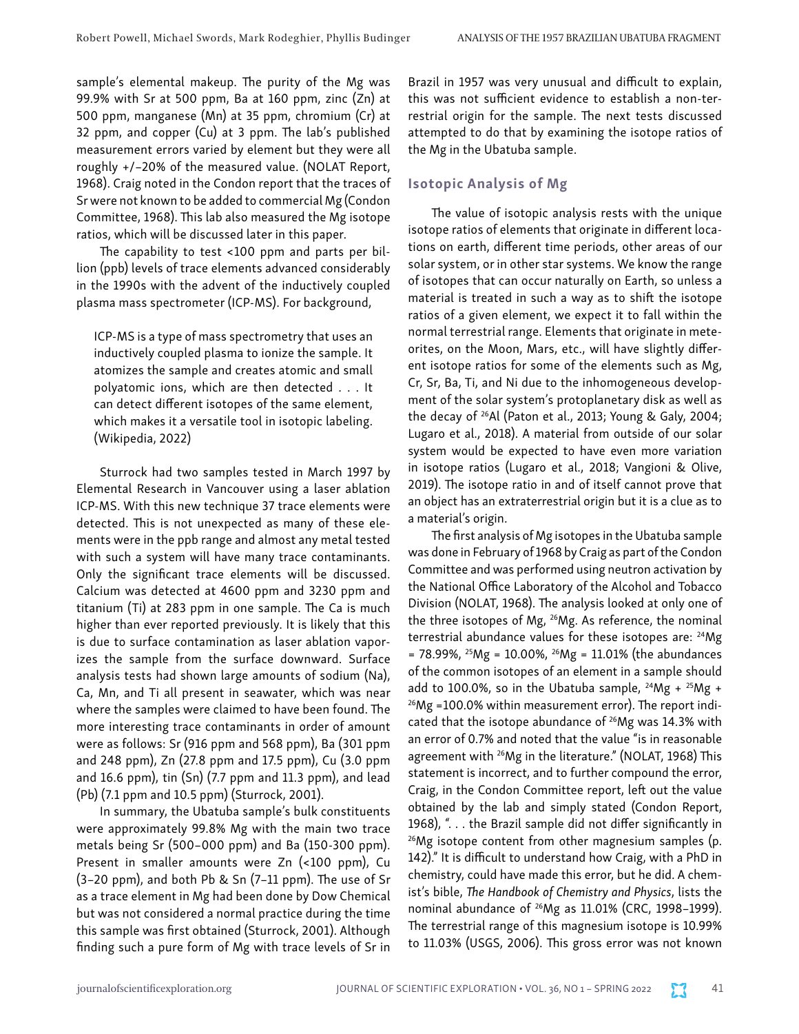sample's elemental makeup. The purity of the Mg was 99.9% with Sr at 500 ppm, Ba at 160 ppm, zinc (Zn) at 500 ppm, manganese (Mn) at 35 ppm, chromium (Cr) at 32 ppm, and copper (Cu) at 3 ppm. The lab's published measurement errors varied by element but they were all roughly +/–20% of the measured value. (NOLAT Report, 1968). Craig noted in the Condon report that the traces of Sr were not known to be added to commercial Mg (Condon Committee, 1968). This lab also measured the Mg isotope ratios, which will be discussed later in this paper.

The capability to test <100 ppm and parts per billion (ppb) levels of trace elements advanced considerably in the 1990s with the advent of the inductively coupled plasma mass spectrometer (ICP-MS). For background,

ICP-MS is a type of mass spectrometry that uses an inductively coupled plasma to ionize the sample. It atomizes the sample and creates atomic and small polyatomic ions, which are then detected . . . It can detect different isotopes of the same element, which makes it a versatile tool in isotopic labeling. (Wikipedia, 2022)

Sturrock had two samples tested in March 1997 by Elemental Research in Vancouver using a laser ablation ICP-MS. With this new technique 37 trace elements were detected. This is not unexpected as many of these elements were in the ppb range and almost any metal tested with such a system will have many trace contaminants. Only the significant trace elements will be discussed. Calcium was detected at 4600 ppm and 3230 ppm and titanium (Ti) at 283 ppm in one sample. The Ca is much higher than ever reported previously. It is likely that this is due to surface contamination as laser ablation vaporizes the sample from the surface downward. Surface analysis tests had shown large amounts of sodium (Na), Ca, Mn, and Ti all present in seawater, which was near where the samples were claimed to have been found. The more interesting trace contaminants in order of amount were as follows: Sr (916 ppm and 568 ppm), Ba (301 ppm and 248 ppm), Zn (27.8 ppm and 17.5 ppm), Cu (3.0 ppm and 16.6 ppm), tin (Sn) (7.7 ppm and 11.3 ppm), and lead (Pb) (7.1 ppm and 10.5 ppm) (Sturrock, 2001).

In summary, the Ubatuba sample's bulk constituents were approximately 99.8% Mg with the main two trace metals being Sr (500–000 ppm) and Ba (150-300 ppm). Present in smaller amounts were Zn (<100 ppm), Cu (3–20 ppm), and both Pb & Sn (7–11 ppm). The use of Sr as a trace element in Mg had been done by Dow Chemical but was not considered a normal practice during the time this sample was first obtained (Sturrock, 2001). Although finding such a pure form of Mg with trace levels of Sr in

Brazil in 1957 was very unusual and difficult to explain, this was not sufficient evidence to establish a non-terrestrial origin for the sample. The next tests discussed attempted to do that by examining the isotope ratios of the Mg in the Ubatuba sample.

## Isotopic Analysis of Mg

The value of isotopic analysis rests with the unique isotope ratios of elements that originate in different locations on earth, different time periods, other areas of our solar system, or in other star systems. We know the range of isotopes that can occur naturally on Earth, so unless a material is treated in such a way as to shift the isotope ratios of a given element, we expect it to fall within the normal terrestrial range. Elements that originate in meteorites, on the Moon, Mars, etc., will have slightly different isotope ratios for some of the elements such as Mg, Cr, Sr, Ba, Ti, and Ni due to the inhomogeneous development of the solar system's protoplanetary disk as well as the decay of 26Al (Paton et al., 2013; Young & Galy, 2004; Lugaro et al., 2018). A material from outside of our solar system would be expected to have even more variation in isotope ratios (Lugaro et al., 2018; Vangioni & Olive, 2019). The isotope ratio in and of itself cannot prove that an object has an extraterrestrial origin but it is a clue as to a material's origin.

The first analysis of Mg isotopes in the Ubatuba sample was done in February of 1968 by Craig as part of the Condon Committee and was performed using neutron activation by the National Office Laboratory of the Alcohol and Tobacco Division (NOLAT, 1968). The analysis looked at only one of the three isotopes of Mg, <sup>26</sup>Mg. As reference, the nominal terrestrial abundance values for these isotopes are: <sup>24</sup>Mg  $= 78.99\%$ , <sup>25</sup>Mg = 10.00%, <sup>26</sup>Mg = 11.01% (the abundances of the common isotopes of an element in a sample should add to 100.0%, so in the Ubatuba sample,  $^{24}Mg + ^{25}Mg + ^{26}Mg = 100.0\%$  within measurement error). The report indicated that the isotope abundance of  $26$ Mg was 14.3% with an error of 0.7% and noted that the value "is in reasonable agreement with 26Mg in the literature." (NOLAT, 1968) This statement is incorrect, and to further compound the error, Craig, in the Condon Committee report, left out the value obtained by the lab and simply stated (Condon Report, 1968), ". . . the Brazil sample did not differ significantly in  $26$ Mg isotope content from other magnesium samples (p. 142)." It is difficult to understand how Craig, with a PhD in chemistry, could have made this error, but he did. A chemist's bible, *The Handbook of Chemistry and Physics*, lists the nominal abundance of  $^{26}Mg$  as 11.01% (CRC, 1998–1999). The terrestrial range of this magnesium isotope is 10.99% to 11.03% (USGS, 2006). This gross error was not known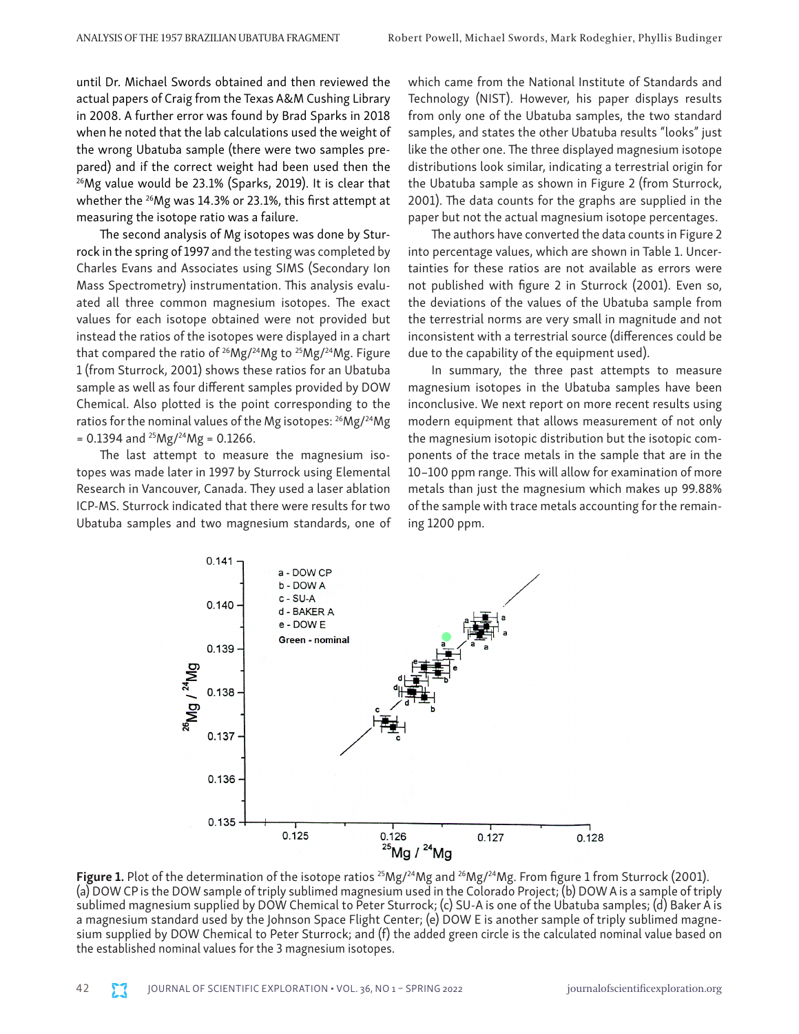until Dr. Michael Swords obtained and then reviewed the actual papers of Craig from the Texas A&M Cushing Library in 2008. A further error was found by Brad Sparks in 2018 when he noted that the lab calculations used the weight of the wrong Ubatuba sample (there were two samples prepared) and if the correct weight had been used then the 26Mg value would be 23.1% (Sparks, 2019). It is clear that whether the <sup>26</sup>Mg was 14.3% or 23.1%, this first attempt at measuring the isotope ratio was a failure.

The second analysis of Mg isotopes was done by Sturrock in the spring of 1997 and the testing was completed by Charles Evans and Associates using SIMS (Secondary Ion Mass Spectrometry) instrumentation. This analysis evaluated all three common magnesium isotopes. The exact values for each isotope obtained were not provided but instead the ratios of the isotopes were displayed in a chart that compared the ratio of  $26$ Mg/ $24$ Mg to  $25$ Mg/ $24$ Mg. Figure 1 (from Sturrock, 2001) shows these ratios for an Ubatuba sample as well as four different samples provided by DOW Chemical. Also plotted is the point corresponding to the ratios for the nominal values of the Mg isotopes: 26Mg/24Mg  $= 0.1394$  and <sup>25</sup>Mg/<sup>24</sup>Mg = 0.1266.

The last attempt to measure the magnesium isotopes was made later in 1997 by Sturrock using Elemental Research in Vancouver, Canada. They used a laser ablation ICP-MS. Sturrock indicated that there were results for two Ubatuba samples and two magnesium standards, one of which came from the National Institute of Standards and Technology (NIST). However, his paper displays results from only one of the Ubatuba samples, the two standard samples, and states the other Ubatuba results "looks" just like the other one. The three displayed magnesium isotope distributions look similar, indicating a terrestrial origin for the Ubatuba sample as shown in Figure 2 (from Sturrock, 2001). The data counts for the graphs are supplied in the paper but not the actual magnesium isotope percentages.

The authors have converted the data counts in Figure 2 into percentage values, which are shown in Table 1. Uncertainties for these ratios are not available as errors were not published with figure 2 in Sturrock (2001). Even so, the deviations of the values of the Ubatuba sample from the terrestrial norms are very small in magnitude and not inconsistent with a terrestrial source (differences could be due to the capability of the equipment used).

In summary, the three past attempts to measure magnesium isotopes in the Ubatuba samples have been inconclusive. We next report on more recent results using modern equipment that allows measurement of not only the magnesium isotopic distribution but the isotopic components of the trace metals in the sample that are in the 10–100 ppm range. This will allow for examination of more metals than just the magnesium which makes up 99.88% of the sample with trace metals accounting for the remaining 1200 ppm.



Figure 1. Plot of the determination of the isotope ratios <sup>25</sup>Mg/<sup>24</sup>Mg and <sup>26</sup>Mg/<sup>24</sup>Mg. From figure 1 from Sturrock (2001). (a) DOW CP is the DOW sample of triply sublimed magnesium used in the Colorado Project; (b) DOW A is a sample of triply sublimed magnesium supplied by DOW Chemical to Peter Sturrock; (c) SU-A is one of the Ubatuba samples; (d) Baker A is a magnesium standard used by the Johnson Space Flight Center; (e) DOW E is another sample of triply sublimed magnesium supplied by DOW Chemical to Peter Sturrock; and (f) the added green circle is the calculated nominal value based on the established nominal values for the 3 magnesium isotopes.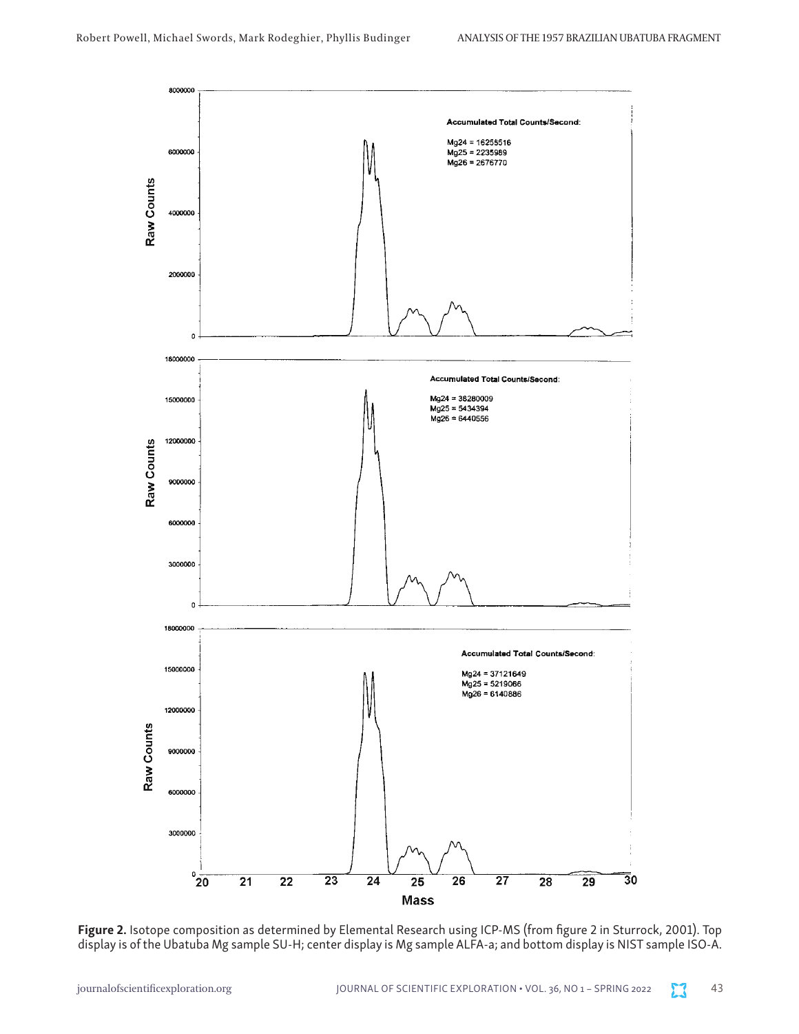

Figure 2. Isotope composition as determined by Elemental Research using ICP-MS (from figure 2 in Sturrock, 2001). Top display is of the Ubatuba Mg sample SU-H; center display is Mg sample ALFA-a; and bottom display is NIST sample ISO-A.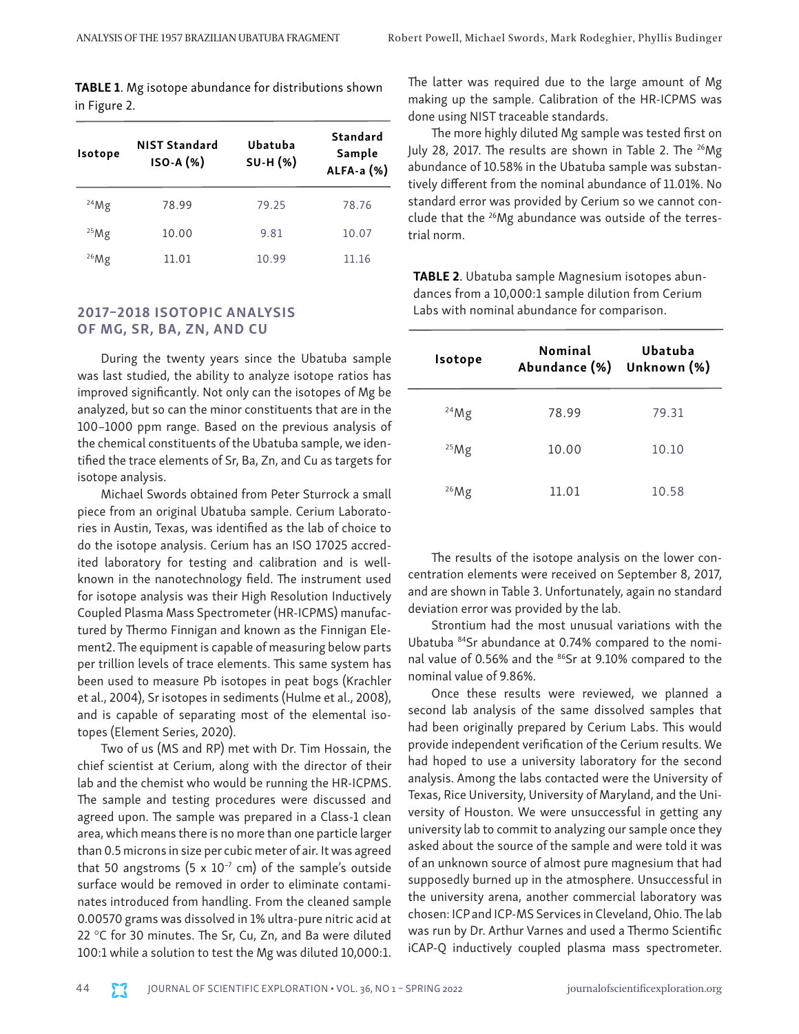TABLE 1. Mg isotope abundance for distributions shown in Figure 2.

| Isotope | <b>NIST Standard</b><br>ISO-A (%) | Ubatuba<br><b>SU-H (%)</b> | <b>Standard</b><br>Sample<br>ALFA-a $(%)$ |
|---------|-----------------------------------|----------------------------|-------------------------------------------|
| 24Mg    | 78.99                             | 79.25                      | 78.76                                     |
| 25Mg    | 10.00                             | 9.81                       | 10.07                                     |
| 26Mg    | 11.01                             | 10.99                      | 11.16                                     |

#### 2017–2018 ISOTOPIC ANALYSIS OF MG, SR, BA, ZN, AND CU

During the twenty years since the Ubatuba sample was last studied, the ability to analyze isotope ratios has improved significantly. Not only can the isotopes of Mg be analyzed, but so can the minor constituents that are in the 100–1000 ppm range. Based on the previous analysis of the chemical constituents of the Ubatuba sample, we identified the trace elements of Sr, Ba, Zn, and Cu as targets for isotope analysis.

Michael Swords obtained from Peter Sturrock a small piece from an original Ubatuba sample. Cerium Laboratories in Austin, Texas, was identified as the lab of choice to do the isotope analysis. Cerium has an ISO 17025 accredited laboratory for testing and calibration and is wellknown in the nanotechnology field. The instrument used for isotope analysis was their High Resolution Inductively Coupled Plasma Mass Spectrometer (HR-ICPMS) manufactured by Thermo Finnigan and known as the Finnigan Element2. The equipment is capable of measuring below parts per trillion levels of trace elements. This same system has been used to measure Pb isotopes in peat bogs (Krachler et al., 2004), Sr isotopes in sediments (Hulme et al., 2008), and is capable of separating most of the elemental isotopes (Element Series, 2020).

Two of us (MS and RP) met with Dr. Tim Hossain, the chief scientist at Cerium, along with the director of their lab and the chemist who would be running the HR-ICPMS. The sample and testing procedures were discussed and agreed upon. The sample was prepared in a Class-1 clean area, which means there is no more than one particle larger than 0.5 microns in size per cubic meter of air. It was agreed that 50 angstroms (5  $\times$  10<sup>-7</sup> cm) of the sample's outside surface would be removed in order to eliminate contaminates introduced from handling. From the cleaned sample 0.00570 grams was dissolved in 1% ultra-pure nitric acid at 22 °C for 30 minutes. The Sr, Cu, Zn, and Ba were diluted 100:1 while a solution to test the Mg was diluted 10,000:1. The latter was required due to the large amount of Mg making up the sample. Calibration of the HR-ICPMS was done using NIST traceable standards.

The more highly diluted Mg sample was tested first on July 28, 2017. The results are shown in Table 2. The <sup>26</sup>Mg abundance of 10.58% in the Ubatuba sample was substantively different from the nominal abundance of 11.01%. No standard error was provided by Cerium so we cannot conclude that the 26Mg abundance was outside of the terrestrial norm.

TABLE 2. Ubatuba sample Magnesium isotopes abundances from a 10,000:1 sample dilution from Cerium Labs with nominal abundance for comparison.

| <b>Isotope</b> | Nominal<br>Abundance (%) Unknown (%) | Ubatuba |
|----------------|--------------------------------------|---------|
| 24Mg           | 78.99                                | 79.31   |
| 25Mg           | 10.00                                | 10.10   |
| 26Mg           | 11.01                                | 10.58   |

The results of the isotope analysis on the lower concentration elements were received on September 8, 2017, and are shown in Table 3. Unfortunately, again no standard deviation error was provided by the lab.

Strontium had the most unusual variations with the Ubatuba 84Sr abundance at 0.74% compared to the nominal value of 0.56% and the <sup>86</sup>Sr at 9.10% compared to the nominal value of 9.86%.

Once these results were reviewed, we planned a second lab analysis of the same dissolved samples that had been originally prepared by Cerium Labs. This would provide independent verification of the Cerium results. We had hoped to use a university laboratory for the second analysis. Among the labs contacted were the University of Texas, Rice University, University of Maryland, and the University of Houston. We were unsuccessful in getting any university lab to commit to analyzing our sample once they asked about the source of the sample and were told it was of an unknown source of almost pure magnesium that had supposedly burned up in the atmosphere. Unsuccessful in the university arena, another commercial laboratory was chosen: ICP and ICP-MS Services in Cleveland, Ohio. The lab was run by Dr. Arthur Varnes and used a Thermo Scientific iCAP-Q inductively coupled plasma mass spectrometer.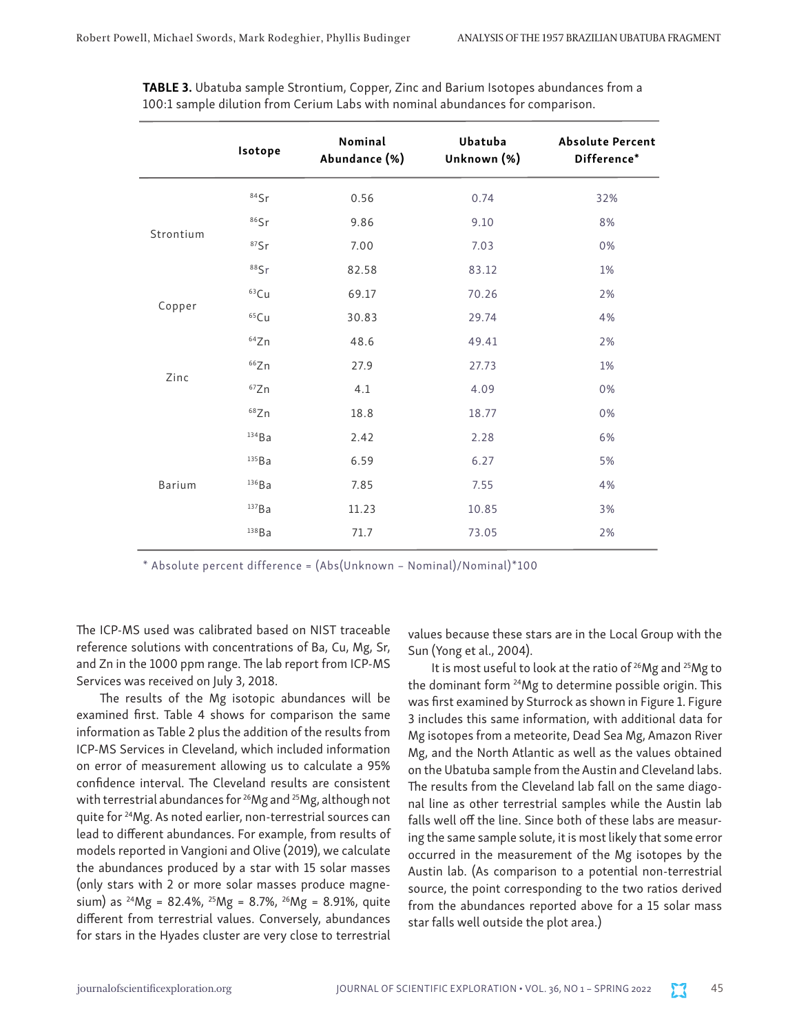|           | Isotope  | Nominal<br>Abundance (%) | Ubatuba<br>Unknown (%) | <b>Absolute Percent</b><br>Difference* |
|-----------|----------|--------------------------|------------------------|----------------------------------------|
|           | $84$ Sr  | 0.56                     | 0.74                   | 32%                                    |
| Strontium | 86Sr     | 9.86                     | 9.10                   | 8%                                     |
|           | $87$ Sr  | 7.00                     | 7.03                   | 0%                                     |
|           | 88Sr     | 82.58                    | 83.12                  | 1%                                     |
| Copper    | $63$ Cu  | 69.17                    | 70.26                  | 2%                                     |
|           | $65$ Cu  | 30.83                    | 29.74                  | 4%                                     |
| Zinc      | 64Zn     | 48.6                     | 49.41                  | 2%                                     |
|           | 66Zn     | 27.9                     | 27.73                  | $1\%$                                  |
|           | 67Zn     | 4.1                      | 4.09                   | 0%                                     |
|           | 68Zn     | 18.8                     | 18.77                  | 0%                                     |
| Barium    | 134Ba    | 2.42                     | 2.28                   | 6%                                     |
|           | 135Ba    | 6.59                     | 6.27                   | 5%                                     |
|           | $136$ Ba | 7.85                     | 7.55                   | 4%                                     |
|           | 137Ba    | 11.23                    | 10.85                  | 3%                                     |
|           | 138Ba    | 71.7                     | 73.05                  | 2%                                     |

TABLE 3. Ubatuba sample Strontium, Copper, Zinc and Barium Isotopes abundances from a 100:1 sample dilution from Cerium Labs with nominal abundances for comparison.

\* Absolute percent difference = (Abs(Unknown – Nominal)/Nominal)\*100

The ICP-MS used was calibrated based on NIST traceable reference solutions with concentrations of Ba, Cu, Mg, Sr, and Zn in the 1000 ppm range. The lab report from ICP-MS Services was received on July 3, 2018.

The results of the Mg isotopic abundances will be examined first. Table 4 shows for comparison the same information as Table 2 plus the addition of the results from ICP-MS Services in Cleveland, which included information on error of measurement allowing us to calculate a 95% confidence interval. The Cleveland results are consistent with terrestrial abundances for 26Mg and 25Mg, although not quite for 24Mg. As noted earlier, non-terrestrial sources can lead to different abundances. For example, from results of models reported in Vangioni and Olive (2019), we calculate the abundances produced by a star with 15 solar masses (only stars with 2 or more solar masses produce magnesium) as  $^{24}Mg = 82.4\%$ ,  $^{25}Mg = 8.7\%$ ,  $^{26}Mg = 8.91\%$ , quite different from terrestrial values. Conversely, abundances for stars in the Hyades cluster are very close to terrestrial

values because these stars are in the Local Group with the Sun (Yong et al., 2004).

It is most useful to look at the ratio of 26Mg and 25Mg to the dominant form 24Mg to determine possible origin. This was first examined by Sturrock as shown in Figure 1. Figure 3 includes this same information, with additional data for Mg isotopes from a meteorite, Dead Sea Mg, Amazon River Mg, and the North Atlantic as well as the values obtained on the Ubatuba sample from the Austin and Cleveland labs. The results from the Cleveland lab fall on the same diagonal line as other terrestrial samples while the Austin lab falls well off the line. Since both of these labs are measuring the same sample solute, it is most likely that some error occurred in the measurement of the Mg isotopes by the Austin lab. (As comparison to a potential non-terrestrial source, the point corresponding to the two ratios derived from the abundances reported above for a 15 solar mass star falls well outside the plot area.)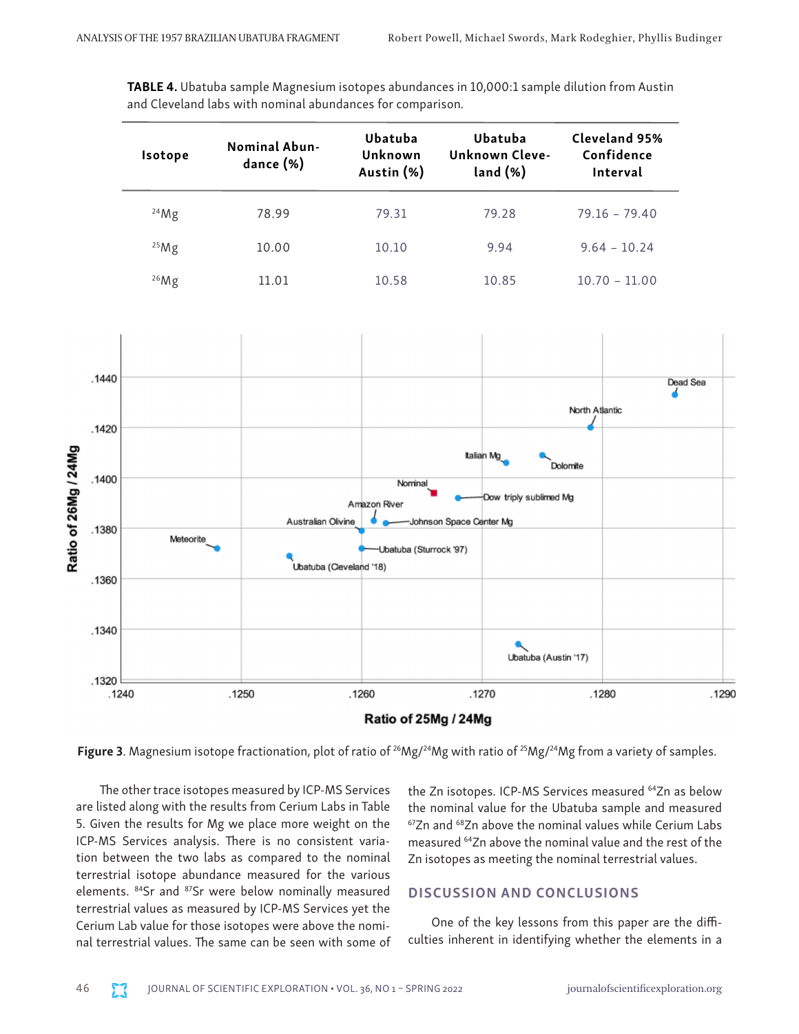TABLE 4. Ubatuba sample Magnesium isotopes abundances in 10,000:1 sample dilution from Austin and Cleveland labs with nominal abundances for comparison*.*

| Isotope | <b>Nominal Abun-</b><br>dance (%) | Ubatuba<br>Unknown<br>Austin (%) | Ubatuba<br>Unknown Cleve-<br>land (%) | Cleveland 95%<br>Confidence<br>Interval |
|---------|-----------------------------------|----------------------------------|---------------------------------------|-----------------------------------------|
| 24Mg    | 78.99                             | 79.31                            | 79.28                                 | $79.16 - 79.40$                         |
| 25Mg    | 10.00                             | 10.10                            | 9.94                                  | $9.64 - 10.24$                          |
| 26Mg    | 11.01                             | 10.58                            | 10.85                                 | $10.70 - 11.00$                         |



**Figure 3**. Magnesium isotope fractionation, plot of ratio of <sup>26</sup>Mg/<sup>24</sup>Mg with ratio of <sup>25</sup>Mg/<sup>24</sup>Mg from a variety of samples.

The other trace isotopes measured by ICP-MS Services are listed along with the results from Cerium Labs in Table 5. Given the results for Mg we place more weight on the ICP-MS Services analysis. There is no consistent variation between the two labs as compared to the nominal terrestrial isotope abundance measured for the various elements. 84Sr and 87Sr were below nominally measured terrestrial values as measured by ICP-MS Services yet the Cerium Lab value for those isotopes were above the nominal terrestrial values. The same can be seen with some of the Zn isotopes. ICP-MS Services measured <sup>64</sup>Zn as below the nominal value for the Ubatuba sample and measured  $67Zn$  and  $68Zn$  above the nominal values while Cerium Labs measured 64Zn above the nominal value and the rest of the Zn isotopes as meeting the nominal terrestrial values.

# DISCUSSION AND CONCLUSIONS

One of the key lessons from this paper are the difficulties inherent in identifying whether the elements in a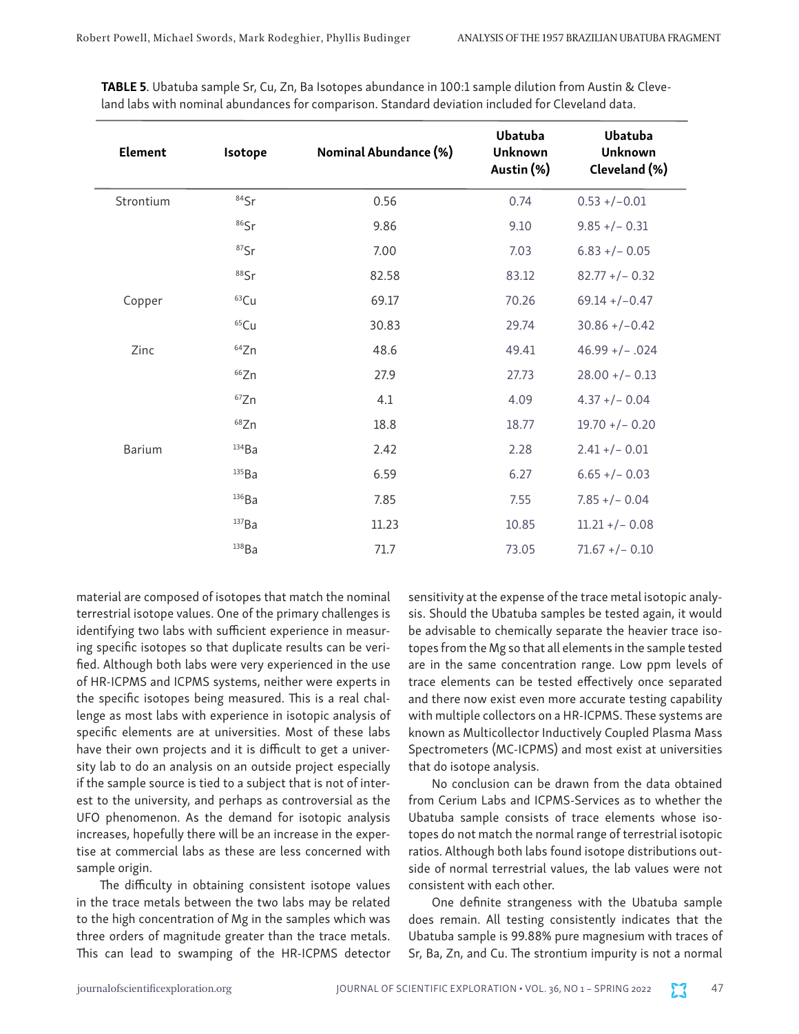| Element       | Isotope    | Nominal Abundance (%) | Ubatuba<br>Unknown<br>Austin (%) | Ubatuba<br>Unknown<br>Cleveland (%) |
|---------------|------------|-----------------------|----------------------------------|-------------------------------------|
| Strontium     | $84$ Sr    | 0.56                  | 0.74                             | $0.53 + (-0.01)$                    |
|               | $86$ Sr    | 9.86                  | 9.10                             | $9.85 + (-0.31)$                    |
|               | $87$ Sr    | 7.00                  | 7.03                             | $6.83 + / - 0.05$                   |
|               | 88Sr       | 82.58                 | 83.12                            | $82.77 + (-0.32)$                   |
| Copper        | $63$ Cu    | 69.17                 | 70.26                            | $69.14 + / -0.47$                   |
|               | 65Cu       | 30.83                 | 29.74                            | $30.86 + (-0.42)$                   |
| Zinc          | $64$ Zn    | 48.6                  | 49.41                            | $46.99 + / - .024$                  |
|               | 66Zn       | 27.9                  | 27.73                            | $28.00 +/- 0.13$                    |
|               | 67Zn       | 4.1                   | 4.09                             | $4.37 + (-0.04)$                    |
|               | 68Zn       | 18.8                  | 18.77                            | $19.70 + (-0.20)$                   |
| <b>Barium</b> | 134Ba      | 2.42                  | 2.28                             | $2.41 + / - 0.01$                   |
|               | $^{135}Ba$ | 6.59                  | 6.27                             | $6.65 + / - 0.03$                   |
|               | $136$ Ba   | 7.85                  | 7.55                             | $7.85 + (-0.04)$                    |
|               | 137Ba      | 11.23                 | 10.85                            | $11.21 + (-0.08)$                   |
|               | 138Ba      | 71.7                  | 73.05                            | $71.67 + (-0.10)$                   |

TABLE 5. Ubatuba sample Sr, Cu, Zn, Ba Isotopes abundance in 100:1 sample dilution from Austin & Cleveland labs with nominal abundances for comparison. Standard deviation included for Cleveland data.

material are composed of isotopes that match the nominal terrestrial isotope values. One of the primary challenges is identifying two labs with sufficient experience in measuring specific isotopes so that duplicate results can be verified. Although both labs were very experienced in the use of HR-ICPMS and ICPMS systems, neither were experts in the specific isotopes being measured. This is a real challenge as most labs with experience in isotopic analysis of specific elements are at universities. Most of these labs have their own projects and it is difficult to get a university lab to do an analysis on an outside project especially if the sample source is tied to a subject that is not of interest to the university, and perhaps as controversial as the UFO phenomenon. As the demand for isotopic analysis increases, hopefully there will be an increase in the expertise at commercial labs as these are less concerned with sample origin.

The difficulty in obtaining consistent isotope values in the trace metals between the two labs may be related to the high concentration of Mg in the samples which was three orders of magnitude greater than the trace metals. This can lead to swamping of the HR-ICPMS detector

sensitivity at the expense of the trace metal isotopic analysis. Should the Ubatuba samples be tested again, it would be advisable to chemically separate the heavier trace isotopes from the Mg so that all elements in the sample tested are in the same concentration range. Low ppm levels of trace elements can be tested effectively once separated and there now exist even more accurate testing capability with multiple collectors on a HR-ICPMS. These systems are known as Multicollector Inductively Coupled Plasma Mass Spectrometers (MC-ICPMS) and most exist at universities that do isotope analysis.

No conclusion can be drawn from the data obtained from Cerium Labs and ICPMS-Services as to whether the Ubatuba sample consists of trace elements whose isotopes do not match the normal range of terrestrial isotopic ratios. Although both labs found isotope distributions outside of normal terrestrial values, the lab values were not consistent with each other.

One definite strangeness with the Ubatuba sample does remain. All testing consistently indicates that the Ubatuba sample is 99.88% pure magnesium with traces of Sr, Ba, Zn, and Cu. The strontium impurity is not a normal